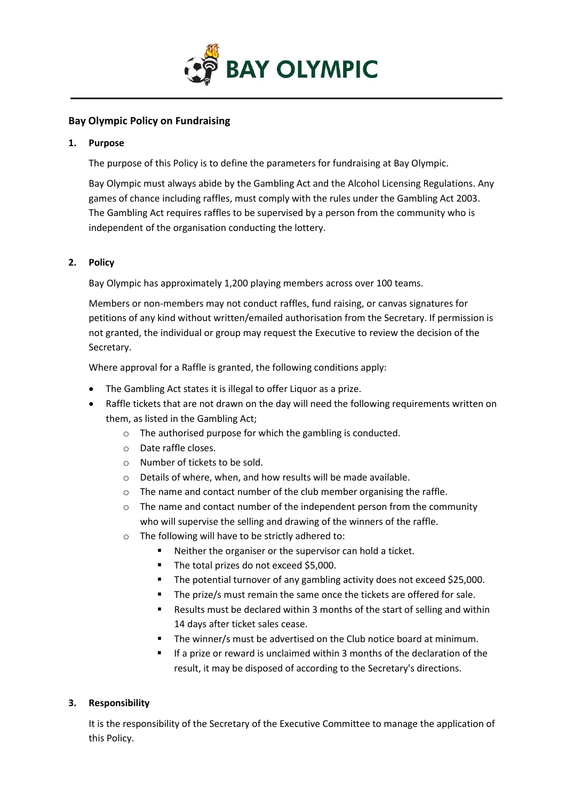

# **Bay Olympic Policy on Fundraising**

### **1. Purpose**

The purpose of this Policy is to define the parameters for fundraising at Bay Olympic.

Bay Olympic must always abide by the Gambling Act and the Alcohol Licensing Regulations. Any games of chance including raffles, must comply with the rules under the Gambling Act 2003. The Gambling Act requires raffles to be supervised by a person from the community who is independent of the organisation conducting the lottery.

## **2. Policy**

Bay Olympic has approximately 1,200 playing members across over 100 teams.

Members or non-members may not conduct raffles, fund raising, or canvas signatures for petitions of any kind without written/emailed authorisation from the Secretary. If permission is not granted, the individual or group may request the Executive to review the decision of the Secretary.

Where approval for a Raffle is granted, the following conditions apply:

- The Gambling Act states it is illegal to offer Liquor as a prize.
- Raffle tickets that are not drawn on the day will need the following requirements written on them, as listed in the Gambling Act;
	- o The authorised purpose for which the gambling is conducted.
	- o Date raffle closes.
	- o Number of tickets to be sold.
	- o Details of where, when, and how results will be made available.
	- o The name and contact number of the club member organising the raffle.
	- $\circ$  The name and contact number of the independent person from the community who will supervise the selling and drawing of the winners of the raffle.
	- o The following will have to be strictly adhered to:
		- Neither the organiser or the supervisor can hold a ticket.
		- The total prizes do not exceed \$5,000.
		- The potential turnover of any gambling activity does not exceed \$25,000.
		- The prize/s must remain the same once the tickets are offered for sale.
		- Results must be declared within 3 months of the start of selling and within 14 days after ticket sales cease.
		- The winner/s must be advertised on the Club notice board at minimum.
		- If a prize or reward is unclaimed within 3 months of the declaration of the result, it may be disposed of according to the Secretary's directions.

# **3. Responsibility**

It is the responsibility of the Secretary of the Executive Committee to manage the application of this Policy.